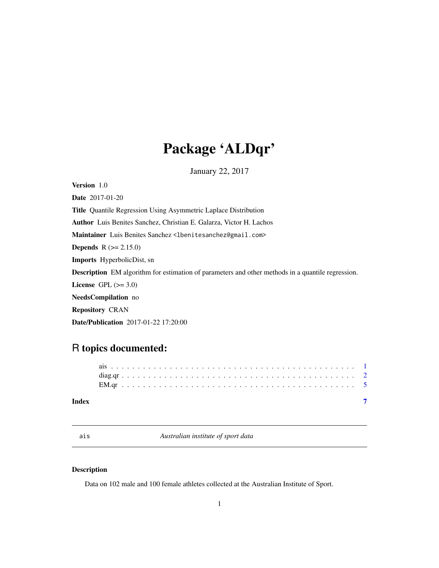# <span id="page-0-0"></span>Package 'ALDqr'

January 22, 2017

Version 1.0 Date 2017-01-20 Title Quantile Regression Using Asymmetric Laplace Distribution Author Luis Benites Sanchez, Christian E. Galarza, Victor H. Lachos Maintainer Luis Benites Sanchez <lbenitesanchez@gmail.com> **Depends**  $R$  ( $>= 2.15.0$ ) Imports HyperbolicDist, sn Description EM algorithm for estimation of parameters and other methods in a quantile regression. License GPL  $(>= 3.0)$ NeedsCompilation no Repository CRAN Date/Publication 2017-01-22 17:20:00

## R topics documented:

| Index |  |  |  |  |  |  |  |  |  |  |  |  |  |  |  |  |  |  |  |  |  |  |  |
|-------|--|--|--|--|--|--|--|--|--|--|--|--|--|--|--|--|--|--|--|--|--|--|--|
|       |  |  |  |  |  |  |  |  |  |  |  |  |  |  |  |  |  |  |  |  |  |  |  |
|       |  |  |  |  |  |  |  |  |  |  |  |  |  |  |  |  |  |  |  |  |  |  |  |
|       |  |  |  |  |  |  |  |  |  |  |  |  |  |  |  |  |  |  |  |  |  |  |  |

ais *Australian institute of sport data*

#### Description

Data on 102 male and 100 female athletes collected at the Australian Institute of Sport.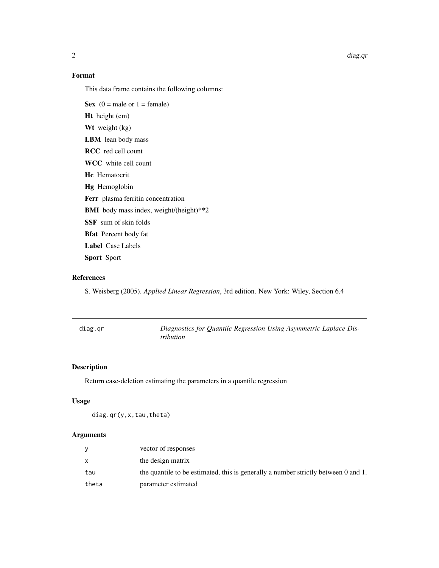$2$  diag.qr

### Format

This data frame contains the following columns:

Sex  $(0 = \text{male or } 1 = \text{female})$ Ht height (cm) Wt weight (kg) LBM lean body mass RCC red cell count WCC white cell count Hc Hematocrit Hg Hemoglobin Ferr plasma ferritin concentration BMI body mass index, weight/(height)\*\*2 SSF sum of skin folds Bfat Percent body fat Label Case Labels Sport Sport

#### References

S. Weisberg (2005). *Applied Linear Regression*, 3rd edition. New York: Wiley, Section 6.4

| diag.gr | <i>tribution</i> | Diagnostics for Quantile Regression Using Asymmetric Laplace Dis- |  |
|---------|------------------|-------------------------------------------------------------------|--|
|         |                  |                                                                   |  |

### Description

Return case-deletion estimating the parameters in a quantile regression

#### Usage

diag.qr(y,x,tau,theta)

#### Arguments

|       | vector of responses                                                                |
|-------|------------------------------------------------------------------------------------|
|       | the design matrix                                                                  |
| tau   | the quantile to be estimated, this is generally a number strictly between 0 and 1. |
| theta | parameter estimated                                                                |

<span id="page-1-0"></span>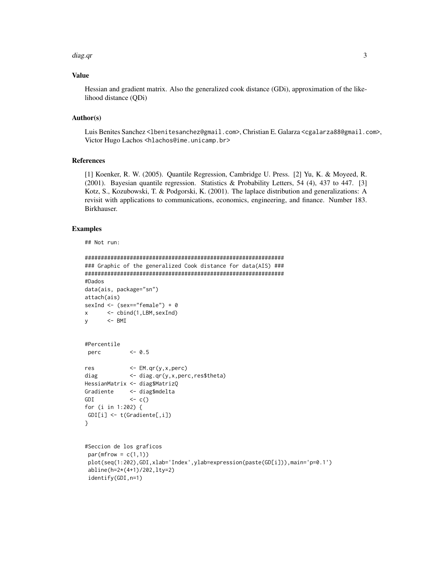#### diag.qr

#### **Value**

Hessian and gradient matrix. Also the generalized cook distance (GDi), approximation of the likelihood distance (QDi)

#### Author(s)

Luis Benites Sanchez <lbenitesanchez@gmail.com>, Christian E. Galarza <cgalarza88@gmail.com>, Victor Hugo Lachos <hlachos@ime.unicamp.br>

#### **References**

[1] Koenker, R. W. (2005). Quantile Regression, Cambridge U. Press. [2] Yu, K. & Moyeed, R. (2001). Bayesian quantile regression. Statistics & Probability Letters, 54 (4), 437 to 447. [3] Kotz, S., Kozubowski, T. & Podgorski, K. (2001). The laplace distribution and generalizations: A revisit with applications to communications, economics, engineering, and finance. Number 183. Birkhauser.

#### **Examples**

## Not run:

```
### Graphic of the generalized Cook distance for data(AIS) ###
#Dados
data(ais, package="sn")
attach(ais)
sexInd <- (sex=="female") + 0<- cbind(1,LBM, sexInd)
\mathsf{x}\leftarrow BMI
У
#Percentile
perc
            <-0.5\leftarrow EM.qr(y,x,perc)
res
            <- diag.qr(y,x,perc,res$theta)
diag
HessianMatrix <- diag$MatrizQ
Gradiente <- diag$mdelta
GDI
            \left\langle -c\right\ranglefor (i in 1:202) {
GDI[i] \leftarrow t(Gradiente[, i])\mathcal{E}#Seccion de los graficos
par(mfrow = c(1,1))plot(seq(1:202), GDI, xlab='Index', ylab=expression(paste(GD[i])), main='p=0.1')
 abline(h=2*(4+1)/202, lty=2)
 identify(GDI, n=1)
```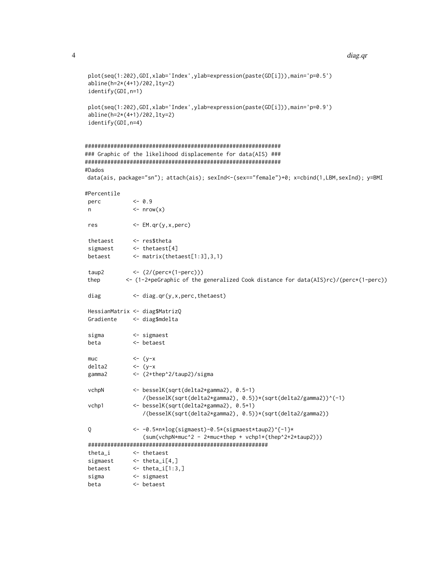#### diag.qr

```
plot(seq(1:202),GDI,xlab='Index',ylab=expression(paste(GD[i])),main='p=0.5')
abline(h=2*(4+1)/202, lty=2)
identify(GDI, n=1)
plot(seq(1:202),GDI,xlab='Index',ylab=expression(paste(GD[i])),main='p=0.9')
abline(h=2*(4+1)/202,1ty=2)identify(GDI, n=4)
### Graphic of the likelihood displacemente for data(AIS) ###
#Dados
data(ais, package="sn"); attach(ais); sexInd <- (sex=="female")+0; x=cbind(1,LBM, sexInd); y=BMI
#Percentile
             <-0.9perc
n\leftarrow nrow(x)res
             \leftarrow EM.qr(y, x, perc)
             <- res$theta
thetaest
             \leftarrow thetaest[4]
sigmaest
betaest
             \leq matrix(thetaest[1:3], 3, 1)
taup2
             \leftarrow (2/(perc*(1-perc)))
thep
           <- (1-2*peGraphic of the generalized Cook distance for data(AIS)rc)/(perc*(1-perc))
diag
             <- diag.qr(y,x,perc,thetaest)
HessianMatrix <- diag$MatrizQ
Gradiente
             <- diag$mdelta
sigma
             \leftarrow sigmaest
             <- betaest
beta
             \leftarrow (y-x)
mnc\leftarrow (y-x
delta2
gamma2
             <- (2+thep^2/taup2)/sigma
vchpN
             <- besselK(sqrt(delta2*gamma2), 0.5-1)
                 /(besselK(sqrt(delta2*gamma2), 0.5))*(sqrt(delta2/gamma2))^(-1)
vchp1
              <- besselK(sqrt(delta2*gamma2), 0.5+1)
                /(besselK(sqrt(delta2*gamma2), 0.5))*(sqrt(delta2/gamma2))
Q
              <- -0.5*n*log(sigmaest)-0.5*(sigmaest*taup2)^{-1}*
                 (sum(vchpN*muc^2 - 2*muc*thep + vchp1*(thep^2+2*taup2)))\leftarrow thetaest
theta i
             \leftarrow theta_i[4,]
sigmaest
             \leftarrow theta_i[1:3,]
betaest
sigma
              \leq sigmaest
beta
             \leftarrow betaest
```
 $\overline{4}$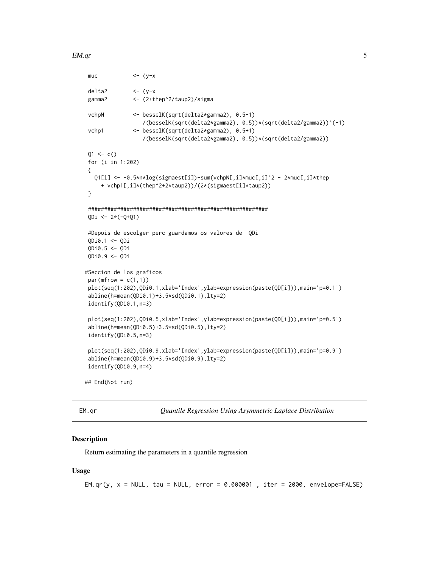#### <span id="page-4-0"></span> $EM.qr$  5

```
muc \left\langle -\right\rangle (y-x)
delta2 <- (y-x
gamma2 <- (2+thep^2/taup2)/sigma
vchpN <- besselK(sqrt(delta2*gamma2), 0.5-1)
                 /(besselK(sqrt(delta2*gamma2), 0.5))*(sqrt(delta2/gamma2))^(-1)
vchp1 <- besselK(sqrt(delta2*gamma2), 0.5+1)
                 /(besselK(sqrt(delta2*gamma2), 0.5))*(sqrt(delta2/gamma2))
Q1 \leq -c()for (i in 1:202)
{
  Q1[i] <- -0.5*n*log(sigmaest[i])-sum(vchpN[,i]*muc[,i]^2 - 2*muc[,i]*thep
    + vchp1[,i]*(thep^2+2*taup2))/(2*(sigmaest[i]*taup2))
}
########################################################
QDi <- 2*(-Q+Q1)
#Depois de escolger perc guardamos os valores de QDi
QDi0.1 <- QDi
QDi0.5 <- QDi
QDi0.9 <- QDi
#Seccion de los graficos
par(mfrow = c(1,1))plot(seq(1:202),QDi0.1,xlab='Index',ylab=expression(paste(QD[i])),main='p=0.1')
abline(h=mean(QDi0.1)+3.5*sd(QDi0.1),lty=2)
identify(QDi0.1,n=3)
plot(seq(1:202),QDi0.5,xlab='Index',ylab=expression(paste(QD[i])),main='p=0.5')
abline(h=mean(QDi0.5)+3.5*sd(QDi0.5),lty=2)
identify(QDi0.5,n=3)
plot(seq(1:202),QDi0.9,xlab='Index',ylab=expression(paste(QD[i])),main='p=0.9')
abline(h=mean(QDi0.9)+3.5*sd(QDi0.9),lty=2)
identify(QDi0.9,n=4)
## End(Not run)
```
EM.qr *Quantile Regression Using Asymmetric Laplace Distribution*

#### **Description**

Return estimating the parameters in a quantile regression

#### Usage

 $EM.qr(y, x = NULL, tau = NULL, error = 0.000001, iter = 2000, envelope=FALSE)$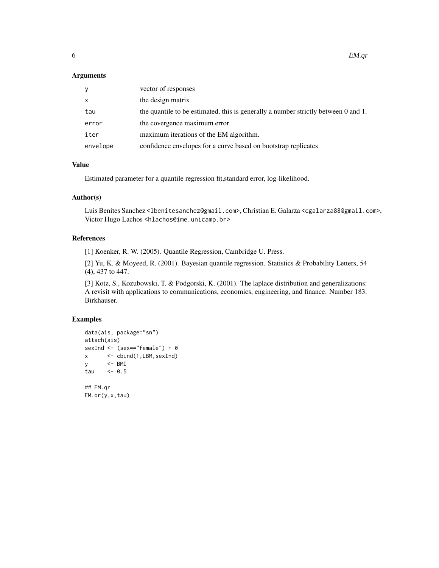$\epsilon$ 6 EM.qr

#### Arguments

| y            | vector of responses                                                                |
|--------------|------------------------------------------------------------------------------------|
| $\mathsf{x}$ | the design matrix                                                                  |
| tau          | the quantile to be estimated, this is generally a number strictly between 0 and 1. |
| error        | the covergence maximum error                                                       |
| iter         | maximum iterations of the EM algorithm.                                            |
| envelope     | confidence envelopes for a curve based on bootstrap replicates                     |

#### Value

Estimated parameter for a quantile regression fit,standard error, log-likelihood.

#### Author(s)

Luis Benites Sanchez <lbenitesanchez@gmail.com>, Christian E. Galarza <cgalarza88@gmail.com>, Victor Hugo Lachos <hlachos@ime.unicamp.br>

#### References

[1] Koenker, R. W. (2005). Quantile Regression, Cambridge U. Press.

[2] Yu, K. & Moyeed, R. (2001). Bayesian quantile regression. Statistics & Probability Letters, 54 (4), 437 to 447.

[3] Kotz, S., Kozubowski, T. & Podgorski, K. (2001). The laplace distribution and generalizations: A revisit with applications to communications, economics, engineering, and finance. Number 183. Birkhauser.

#### Examples

```
data(ais, package="sn")
attach(ais)
sexInd <- (sex=="female") + 0
x <- cbind(1,LBM,sexInd)
y <- BMI
tau <-0.5## EM.qr
EM.qr(y,x,tau)
```